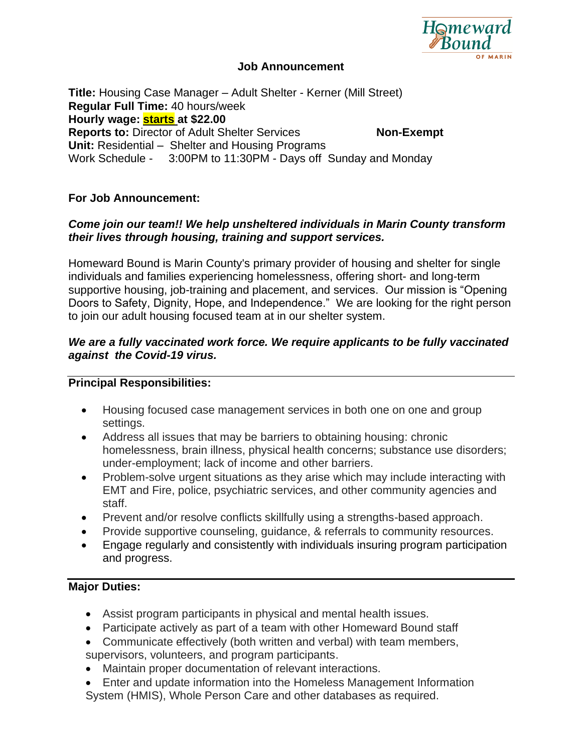

## **Job Announcement**

**Title:** Housing Case Manager – Adult Shelter - Kerner (Mill Street) **Regular Full Time:** 40 hours/week **Hourly wage: starts at \$22.00 Reports to:** Director of Adult Shelter Services **Non-Exempt Unit:** Residential – Shelter and Housing Programs Work Schedule - 3:00PM to 11:30PM - Days off Sunday and Monday

## **For Job Announcement:**

## *Come join our team!! We help unsheltered individuals in Marin County transform their lives through housing, training and support services.*

Homeward Bound is Marin County's primary provider of housing and shelter for single individuals and families experiencing homelessness, offering short- and long-term supportive housing, job-training and placement, and services. Our mission is "Opening Doors to Safety, Dignity, Hope, and Independence." We are looking for the right person to join our adult housing focused team at in our shelter system.

## *We are a fully vaccinated work force. We require applicants to be fully vaccinated against the Covid-19 virus.*

## **Principal Responsibilities:**

- Housing focused case management services in both one on one and group settings.
- Address all issues that may be barriers to obtaining housing: chronic homelessness, brain illness, physical health concerns; substance use disorders; under-employment; lack of income and other barriers.
- Problem-solve urgent situations as they arise which may include interacting with EMT and Fire, police, psychiatric services, and other community agencies and staff.
- Prevent and/or resolve conflicts skillfully using a strengths-based approach.
- Provide supportive counseling, guidance, & referrals to community resources.
- Engage regularly and consistently with individuals insuring program participation and progress.

## **Major Duties:**

- Assist program participants in physical and mental health issues.
- Participate actively as part of a team with other Homeward Bound staff
- Communicate effectively (both written and verbal) with team members, supervisors, volunteers, and program participants.
- Maintain proper documentation of relevant interactions.
- Enter and update information into the Homeless Management Information
- System (HMIS), Whole Person Care and other databases as required.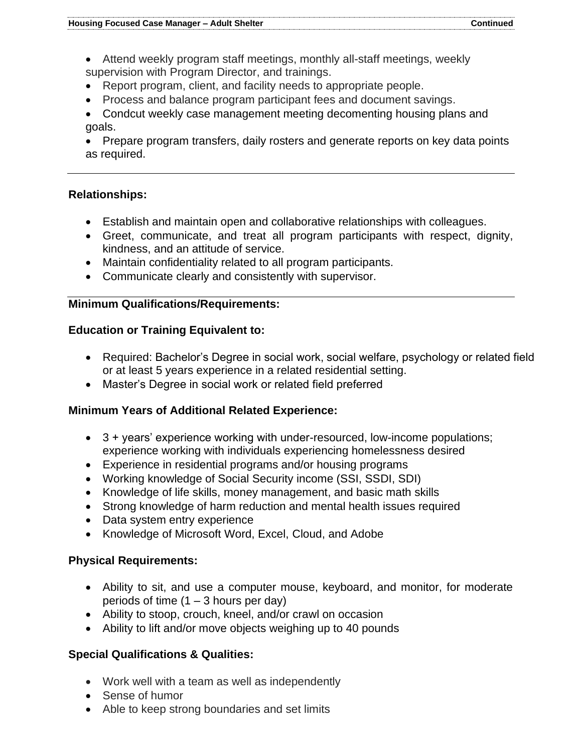- Attend weekly program staff meetings, monthly all-staff meetings, weekly supervision with Program Director, and trainings.
- Report program, client, and facility needs to appropriate people.
- Process and balance program participant fees and document savings.
- Condcut weekly case management meeting decomenting housing plans and goals.
- Prepare program transfers, daily rosters and generate reports on key data points as required.

## **Relationships:**

- Establish and maintain open and collaborative relationships with colleagues.
- Greet, communicate, and treat all program participants with respect, dignity, kindness, and an attitude of service.
- Maintain confidentiality related to all program participants.
- Communicate clearly and consistently with supervisor.

## **Minimum Qualifications/Requirements:**

## **Education or Training Equivalent to:**

- Required: Bachelor's Degree in social work, social welfare, psychology or related field or at least 5 years experience in a related residential setting.
- Master's Degree in social work or related field preferred

# **Minimum Years of Additional Related Experience:**

- 3 + years' experience working with under-resourced, low-income populations; experience working with individuals experiencing homelessness desired
- Experience in residential programs and/or housing programs
- Working knowledge of Social Security income (SSI, SSDI, SDI)
- Knowledge of life skills, money management, and basic math skills
- Strong knowledge of harm reduction and mental health issues required
- Data system entry experience
- Knowledge of Microsoft Word, Excel, Cloud, and Adobe

## **Physical Requirements:**

- Ability to sit, and use a computer mouse, keyboard, and monitor, for moderate periods of time  $(1 – 3$  hours per day)
- Ability to stoop, crouch, kneel, and/or crawl on occasion
- Ability to lift and/or move objects weighing up to 40 pounds

# **Special Qualifications & Qualities:**

- Work well with a team as well as independently
- Sense of humor
- Able to keep strong boundaries and set limits